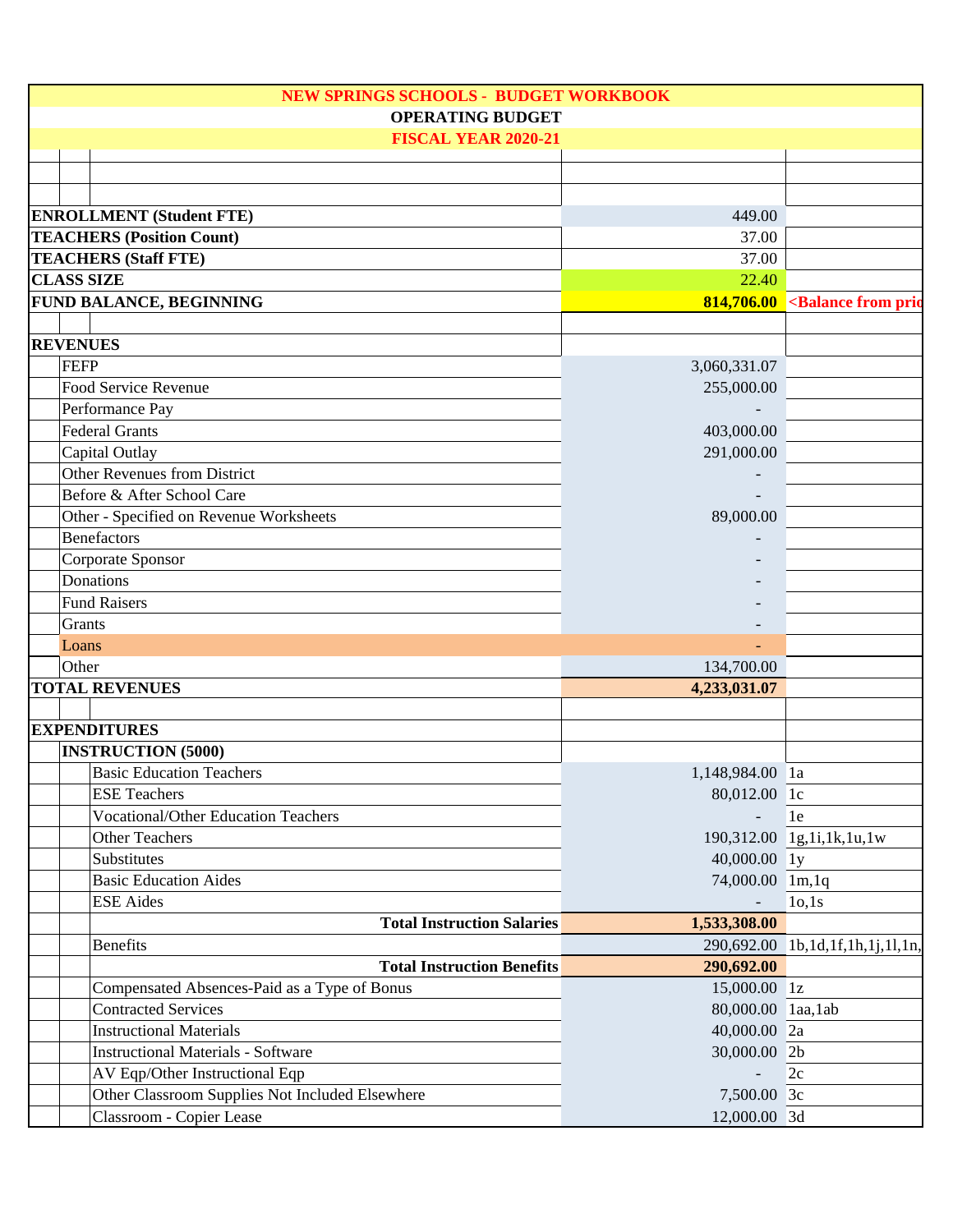| <b>NEW SPRINGS SCHOOLS - BUDGET WORKBOOK</b> |                 |                                                 |                    |                                            |
|----------------------------------------------|-----------------|-------------------------------------------------|--------------------|--------------------------------------------|
|                                              |                 | <b>OPERATING BUDGET</b>                         |                    |                                            |
|                                              |                 | <b>FISCAL YEAR 2020-21</b>                      |                    |                                            |
|                                              |                 |                                                 |                    |                                            |
|                                              |                 |                                                 |                    |                                            |
|                                              |                 | <b>ENROLLMENT</b> (Student FTE)                 | 449.00             |                                            |
|                                              |                 | <b>TEACHERS (Position Count)</b>                | 37.00              |                                            |
|                                              |                 | <b>TEACHERS (Staff FTE)</b>                     | 37.00              |                                            |
|                                              |                 | <b>CLASS SIZE</b>                               | 22.40              |                                            |
|                                              |                 |                                                 |                    |                                            |
|                                              |                 | <b>FUND BALANCE, BEGINNING</b>                  | 814,706.00         | <balance from="" prio<="" td=""></balance> |
|                                              | <b>REVENUES</b> |                                                 |                    |                                            |
|                                              | <b>FEFP</b>     |                                                 |                    |                                            |
|                                              |                 |                                                 | 3,060,331.07       |                                            |
|                                              |                 | Food Service Revenue                            | 255,000.00         |                                            |
|                                              |                 | Performance Pay                                 |                    |                                            |
|                                              |                 | <b>Federal Grants</b>                           | 403,000.00         |                                            |
|                                              |                 | Capital Outlay                                  | 291,000.00         |                                            |
|                                              |                 | Other Revenues from District                    |                    |                                            |
|                                              |                 | Before & After School Care                      |                    |                                            |
|                                              |                 | Other - Specified on Revenue Worksheets         | 89,000.00          |                                            |
|                                              |                 | <b>Benefactors</b>                              |                    |                                            |
|                                              |                 | Corporate Sponsor                               |                    |                                            |
|                                              |                 | Donations                                       |                    |                                            |
|                                              |                 | <b>Fund Raisers</b>                             |                    |                                            |
|                                              | Grants          |                                                 |                    |                                            |
|                                              | Loans           |                                                 |                    |                                            |
|                                              | Other           |                                                 | 134,700.00         |                                            |
|                                              |                 | <b>TOTAL REVENUES</b>                           | 4,233,031.07       |                                            |
|                                              |                 |                                                 |                    |                                            |
|                                              |                 | <b>EXPENDITURES</b>                             |                    |                                            |
|                                              |                 | <b>INSTRUCTION (5000)</b>                       |                    |                                            |
|                                              |                 | <b>Basic Education Teachers</b>                 | 1,148,984.00 1a    |                                            |
|                                              |                 | <b>ESE Teachers</b>                             | 80,012.00 1c       |                                            |
|                                              |                 | <b>Vocational/Other Education Teachers</b>      |                    | le                                         |
|                                              |                 | <b>Other Teachers</b>                           |                    | 190,312.00 1g,1i,1k,1u,1w                  |
|                                              |                 | Substitutes                                     | 40,000.00 ly       |                                            |
|                                              |                 | <b>Basic Education Aides</b>                    | 74,000.00 1m,1q    |                                            |
|                                              |                 | <b>ESE</b> Aides                                |                    | 10,1s                                      |
|                                              |                 | <b>Total Instruction Salaries</b>               | 1,533,308.00       |                                            |
|                                              |                 | <b>Benefits</b>                                 |                    | 290,692.00 1b,1d,1f,1h,1j,1l,1n,           |
|                                              |                 | <b>Total Instruction Benefits</b>               | 290,692.00         |                                            |
|                                              |                 | Compensated Absences-Paid as a Type of Bonus    | 15,000.00 1z       |                                            |
|                                              |                 | <b>Contracted Services</b>                      | 80,000.00 laa, lab |                                            |
|                                              |                 | <b>Instructional Materials</b>                  | 40,000.00 2a       |                                            |
|                                              |                 | <b>Instructional Materials - Software</b>       | 30,000.00 2b       |                                            |
|                                              |                 | AV Eqp/Other Instructional Eqp                  |                    | 2c                                         |
|                                              |                 | Other Classroom Supplies Not Included Elsewhere | 7,500.00 3c        |                                            |
|                                              |                 | Classroom - Copier Lease                        | 12,000.00 3d       |                                            |
|                                              |                 |                                                 |                    |                                            |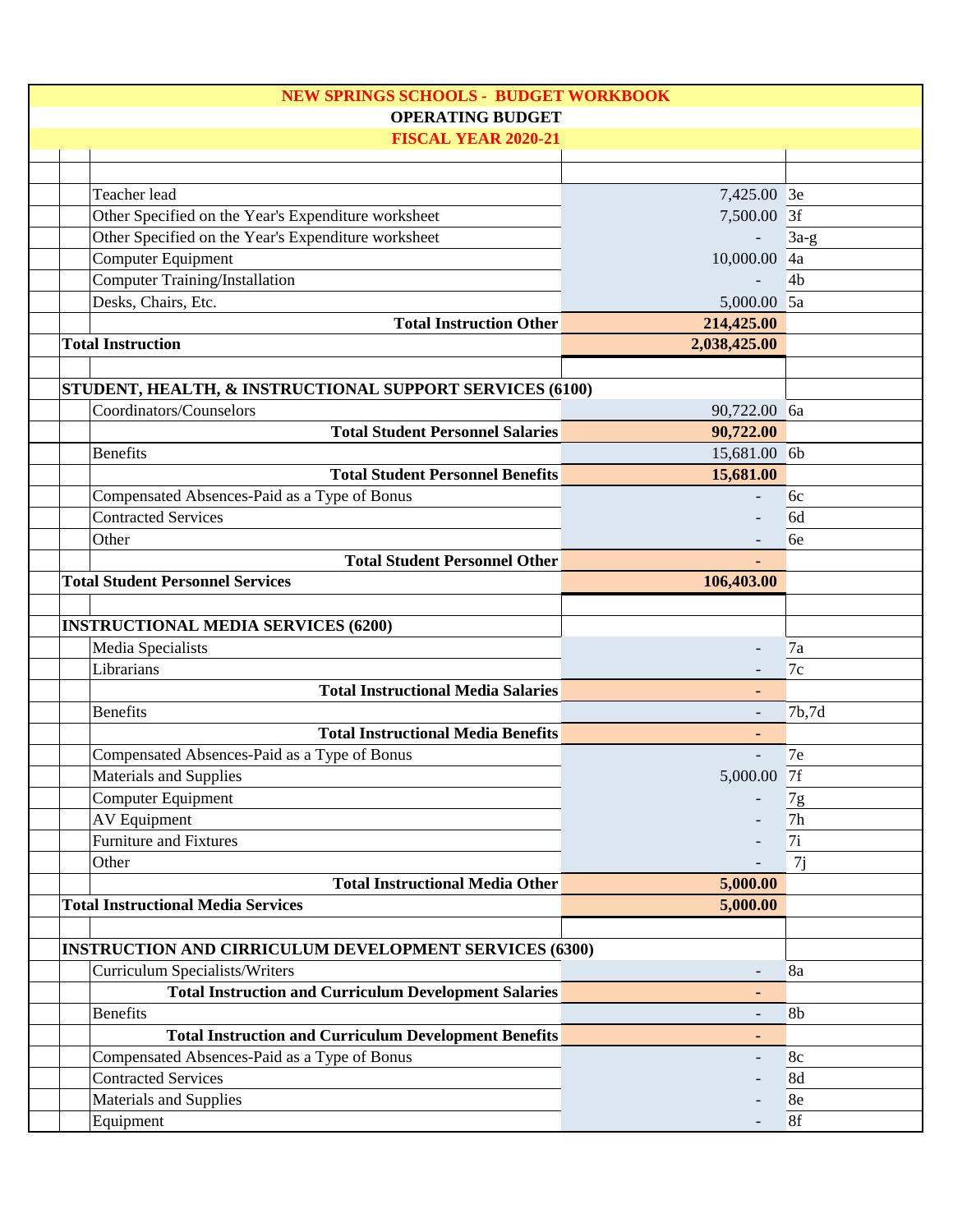| <b>NEW SPRINGS SCHOOLS - BUDGET WORKBOOK</b>                  |                          |                |
|---------------------------------------------------------------|--------------------------|----------------|
| <b>OPERATING BUDGET</b>                                       |                          |                |
| <b>FISCAL YEAR 2020-21</b>                                    |                          |                |
|                                                               |                          |                |
| Teacher lead                                                  | 7,425.00 3e              |                |
| Other Specified on the Year's Expenditure worksheet           | 7,500.00 3f              |                |
| Other Specified on the Year's Expenditure worksheet           |                          | $3a-g$         |
| <b>Computer Equipment</b>                                     | 10,000.00 4a             |                |
| Computer Training/Installation                                |                          | 4 <sub>b</sub> |
| Desks, Chairs, Etc.                                           | 5,000.00 5a              |                |
| <b>Total Instruction Other</b>                                | 214,425.00               |                |
| <b>Total Instruction</b>                                      | 2,038,425.00             |                |
|                                                               |                          |                |
| STUDENT, HEALTH, & INSTRUCTIONAL SUPPORT SERVICES (6100)      |                          |                |
| Coordinators/Counselors                                       | 90,722.00 6a             |                |
| <b>Total Student Personnel Salaries</b>                       | 90,722.00                |                |
| <b>Benefits</b>                                               | 15,681.00 6b             |                |
| <b>Total Student Personnel Benefits</b>                       | 15,681.00                |                |
| Compensated Absences-Paid as a Type of Bonus                  |                          | 6c             |
| <b>Contracted Services</b>                                    |                          | 6d             |
| Other                                                         |                          | 6e             |
| <b>Total Student Personnel Other</b>                          |                          |                |
| <b>Total Student Personnel Services</b>                       | 106,403.00               |                |
|                                                               |                          |                |
| <b>INSTRUCTIONAL MEDIA SERVICES (6200)</b>                    |                          |                |
| Media Specialists                                             |                          | 7a             |
| Librarians                                                    |                          | 7c             |
| <b>Total Instructional Media Salaries</b>                     | ٠                        |                |
| <b>Benefits</b>                                               | $\overline{\phantom{a}}$ | 7b,7d          |
| <b>Total Instructional Media Benefits</b>                     |                          |                |
| Compensated Absences-Paid as a Type of Bonus                  | $\overline{\phantom{a}}$ | 7e             |
| Materials and Supplies                                        | 5,000.00 7f              |                |
| <b>Computer Equipment</b>                                     |                          | 7g             |
| <b>AV Equipment</b>                                           |                          | 7h             |
| <b>Furniture and Fixtures</b>                                 |                          | 7i             |
| Other                                                         |                          | 7j             |
| <b>Total Instructional Media Other</b>                        | 5,000.00                 |                |
| <b>Total Instructional Media Services</b>                     | 5,000.00                 |                |
|                                                               |                          |                |
| <b>INSTRUCTION AND CIRRICULUM DEVELOPMENT SERVICES (6300)</b> |                          |                |
| <b>Curriculum Specialists/Writers</b>                         |                          | 8a             |
| <b>Total Instruction and Curriculum Development Salaries</b>  | ٠                        |                |
| <b>Benefits</b>                                               | $\overline{\phantom{0}}$ | 8 <sub>b</sub> |
| <b>Total Instruction and Curriculum Development Benefits</b>  | ۰                        |                |
| Compensated Absences-Paid as a Type of Bonus                  |                          | 8c             |
| <b>Contracted Services</b>                                    |                          | 8d             |
| Materials and Supplies                                        |                          | 8e             |
| Equipment                                                     |                          | 8f             |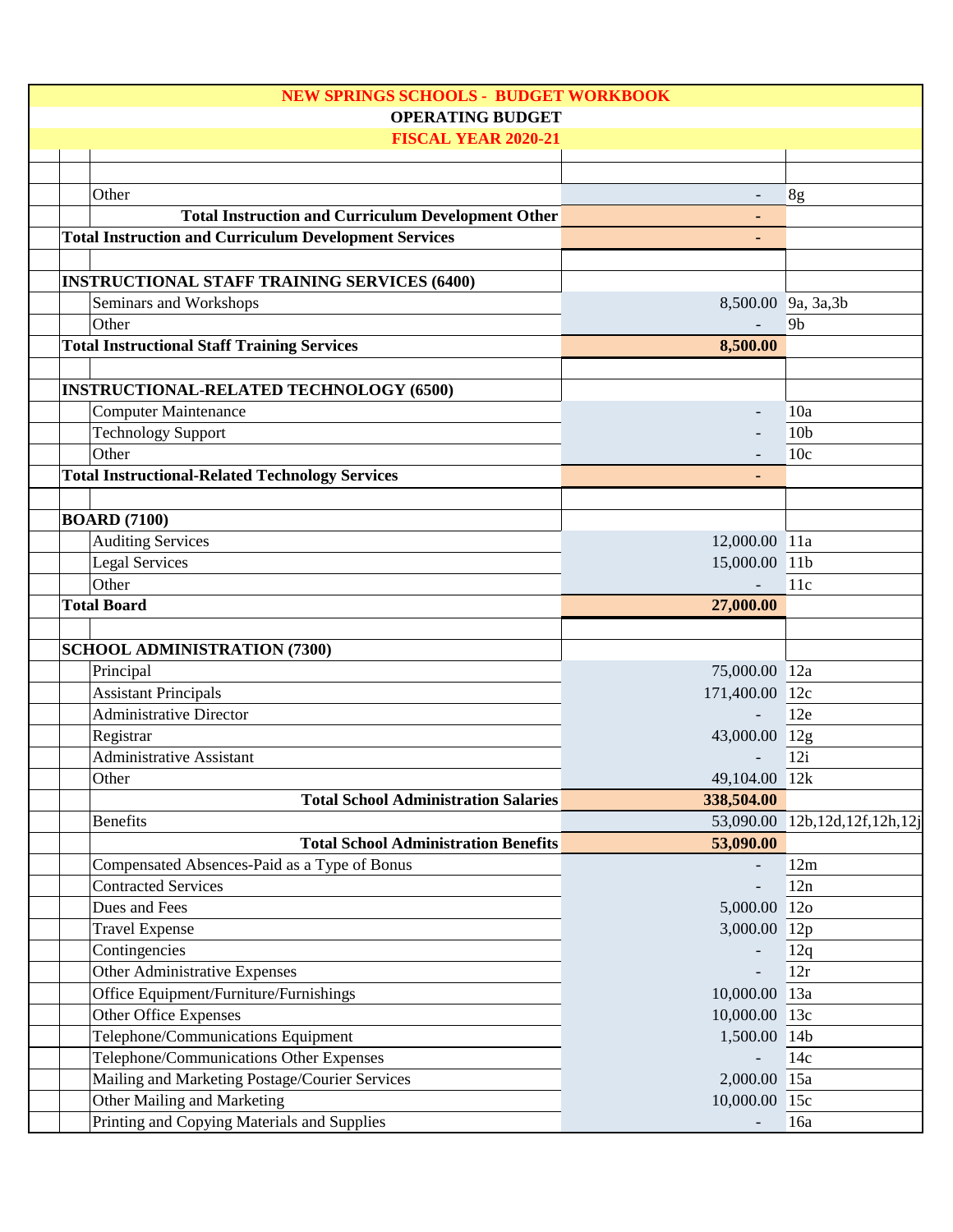| <b>NEW SPRINGS SCHOOLS - BUDGET WORKBOOK</b>                  |                     |                               |
|---------------------------------------------------------------|---------------------|-------------------------------|
| <b>OPERATING BUDGET</b>                                       |                     |                               |
| <b>FISCAL YEAR 2020-21</b>                                    |                     |                               |
|                                                               |                     |                               |
| Other                                                         |                     | 8g                            |
| <b>Total Instruction and Curriculum Development Other</b>     |                     |                               |
| <b>Total Instruction and Curriculum Development Services</b>  |                     |                               |
|                                                               |                     |                               |
| <b>INSTRUCTIONAL STAFF TRAINING SERVICES (6400)</b>           |                     |                               |
| Seminars and Workshops                                        | 8,500.00 9a, 3a, 3b |                               |
| Other                                                         |                     | 9 <sub>b</sub>                |
| <b>Total Instructional Staff Training Services</b>            | 8,500.00            |                               |
|                                                               |                     |                               |
| <b>INSTRUCTIONAL-RELATED TECHNOLOGY (6500)</b>                |                     |                               |
| <b>Computer Maintenance</b>                                   |                     | 10a                           |
| <b>Technology Support</b>                                     |                     | 10 <sub>b</sub>               |
| Other                                                         |                     | 10 <sub>c</sub>               |
| <b>Total Instructional-Related Technology Services</b>        |                     |                               |
|                                                               |                     |                               |
| <b>BOARD (7100)</b>                                           |                     |                               |
| <b>Auditing Services</b>                                      | 12,000.00 11a       |                               |
| Legal Services                                                | 15,000.00 11b       |                               |
| Other                                                         |                     | 11c                           |
| <b>Total Board</b>                                            | 27,000.00           |                               |
|                                                               |                     |                               |
| <b>SCHOOL ADMINISTRATION (7300)</b>                           |                     |                               |
| Principal                                                     | 75,000.00 12a       |                               |
| <b>Assistant Principals</b><br><b>Administrative Director</b> | 171,400.00 12c      |                               |
|                                                               |                     | 12e                           |
| Registrar<br><b>Administrative Assistant</b>                  | 43,000.00 12g       | 12i                           |
| Other                                                         | 49,104.00 12k       |                               |
| <b>Total School Administration Salaries</b>                   |                     |                               |
| <b>Benefits</b>                                               | 338,504.00          | 53,090.00 12b,12d,12f,12h,12j |
| <b>Total School Administration Benefits</b>                   | 53,090.00           |                               |
| Compensated Absences-Paid as a Type of Bonus                  |                     | 12m                           |
| <b>Contracted Services</b>                                    |                     | 12n                           |
| Dues and Fees                                                 | 5,000.00 12o        |                               |
| <b>Travel Expense</b>                                         | 3,000.00 12p        |                               |
| Contingencies                                                 |                     | 12q                           |
| Other Administrative Expenses                                 |                     | 12r                           |
| Office Equipment/Furniture/Furnishings                        | 10,000.00 13a       |                               |
| Other Office Expenses                                         | 10,000.00 13c       |                               |
| Telephone/Communications Equipment                            | 1,500.00 14b        |                               |
| Telephone/Communications Other Expenses                       |                     | 14c                           |
| Mailing and Marketing Postage/Courier Services                | 2,000.00 15a        |                               |
| Other Mailing and Marketing                                   | 10,000.00 15c       |                               |
| Printing and Copying Materials and Supplies                   |                     | 16a                           |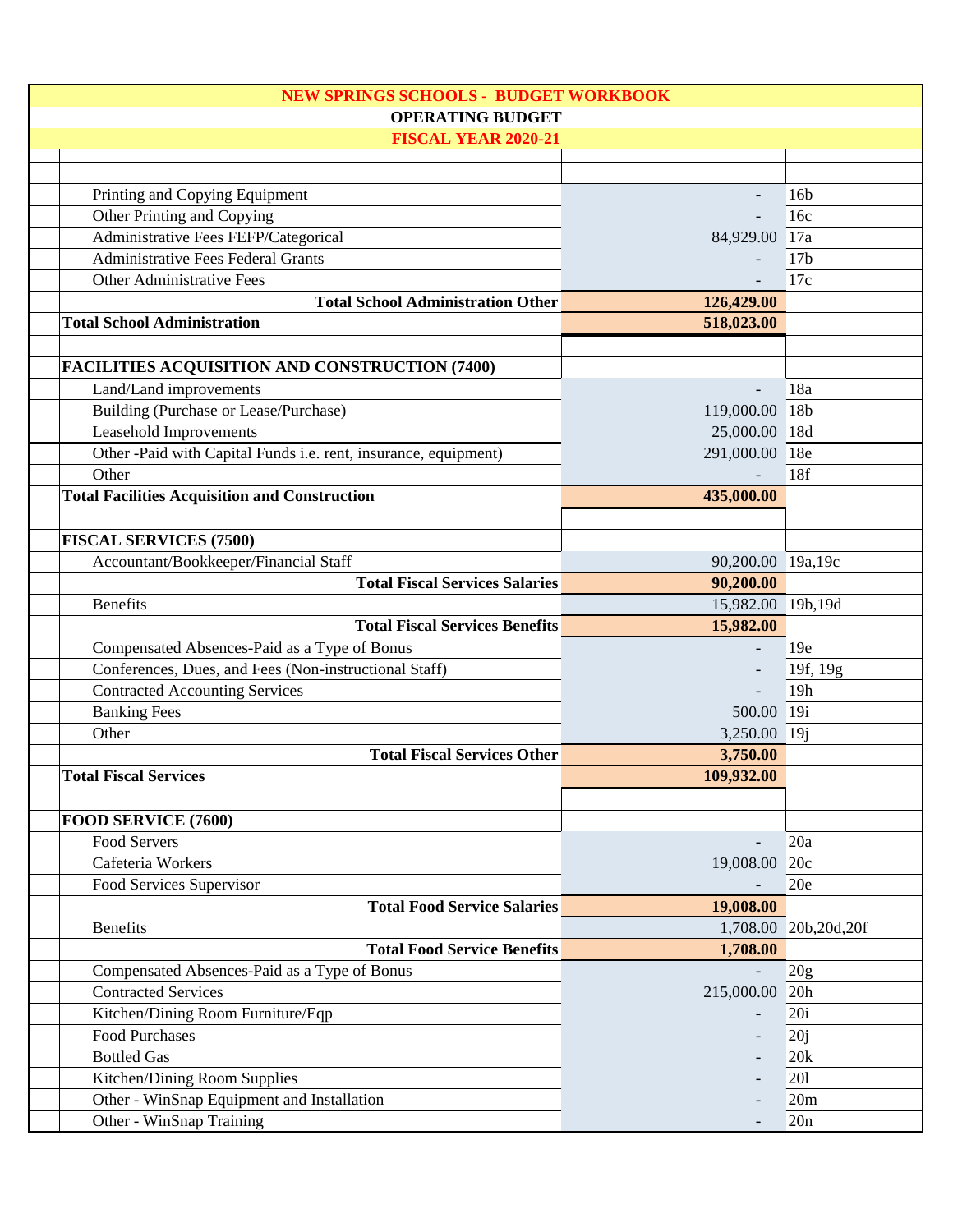| <b>NEW SPRINGS SCHOOLS - BUDGET WORKBOOK</b>                               |                        |                 |
|----------------------------------------------------------------------------|------------------------|-----------------|
| <b>OPERATING BUDGET</b>                                                    |                        |                 |
| <b>FISCAL YEAR 2020-21</b>                                                 |                        |                 |
|                                                                            |                        |                 |
| Printing and Copying Equipment                                             |                        | 16 <sub>b</sub> |
| Other Printing and Copying                                                 |                        | 16c             |
| Administrative Fees FEFP/Categorical                                       | 84,929.00 17a          |                 |
| <b>Administrative Fees Federal Grants</b>                                  |                        | 17 <sub>b</sub> |
| <b>Other Administrative Fees</b>                                           |                        | 17c             |
| <b>Total School Administration Other</b>                                   | 126,429.00             |                 |
| <b>Total School Administration</b>                                         | 518,023.00             |                 |
|                                                                            |                        |                 |
| <b>FACILITIES ACQUISITION AND CONSTRUCTION (7400)</b>                      |                        |                 |
| Land/Land improvements                                                     |                        | 18a             |
| Building (Purchase or Lease/Purchase)                                      | 119,000.00 18b         |                 |
| <b>Leasehold Improvements</b>                                              | 25,000.00 18d          |                 |
| Other -Paid with Capital Funds i.e. rent, insurance, equipment)            | 291,000.00 18e         |                 |
| Other                                                                      |                        | 18f             |
| <b>Total Facilities Acquisition and Construction</b>                       | 435,000.00             |                 |
|                                                                            |                        |                 |
| <b>FISCAL SERVICES (7500)</b>                                              |                        |                 |
| Accountant/Bookkeeper/Financial Staff                                      | 90,200.00 19a,19c      |                 |
| <b>Total Fiscal Services Salaries</b>                                      | 90,200.00              |                 |
| <b>Benefits</b>                                                            | 15,982.00 19b,19d      |                 |
| <b>Total Fiscal Services Benefits</b>                                      | 15,982.00              |                 |
| Compensated Absences-Paid as a Type of Bonus                               |                        | 19e             |
| Conferences, Dues, and Fees (Non-instructional Staff)                      |                        | 19f, 19g        |
| <b>Contracted Accounting Services</b>                                      |                        | 19h             |
|                                                                            | 500.00 19i             |                 |
| <b>Banking Fees</b><br>Other                                               | 3,250.00 19j           |                 |
| <b>Total Fiscal Services Other</b>                                         |                        |                 |
| <b>Total Fiscal Services</b>                                               | 3,750.00<br>109,932.00 |                 |
|                                                                            |                        |                 |
| FOOD SERVICE (7600)                                                        |                        |                 |
| <b>Food Servers</b>                                                        |                        | 20a             |
| Cafeteria Workers                                                          | 19,008.00 20c          |                 |
| Food Services Supervisor                                                   |                        | 20e             |
|                                                                            |                        |                 |
| <b>Total Food Service Salaries</b>                                         | 19,008.00              |                 |
| <b>Benefits</b><br><b>Total Food Service Benefits</b>                      | 1,708.00               | 20b,20d,20f     |
|                                                                            | 1,708.00               |                 |
| Compensated Absences-Paid as a Type of Bonus<br><b>Contracted Services</b> |                        | 20 <sub>g</sub> |
|                                                                            | 215,000.00 20h         |                 |
| Kitchen/Dining Room Furniture/Eqp                                          |                        | 20i             |
| <b>Food Purchases</b>                                                      |                        | 20j             |
| <b>Bottled Gas</b>                                                         |                        | 20k             |
| Kitchen/Dining Room Supplies                                               |                        | 201             |
| Other - WinSnap Equipment and Installation                                 |                        | 20m             |
| Other - WinSnap Training                                                   |                        | 20n             |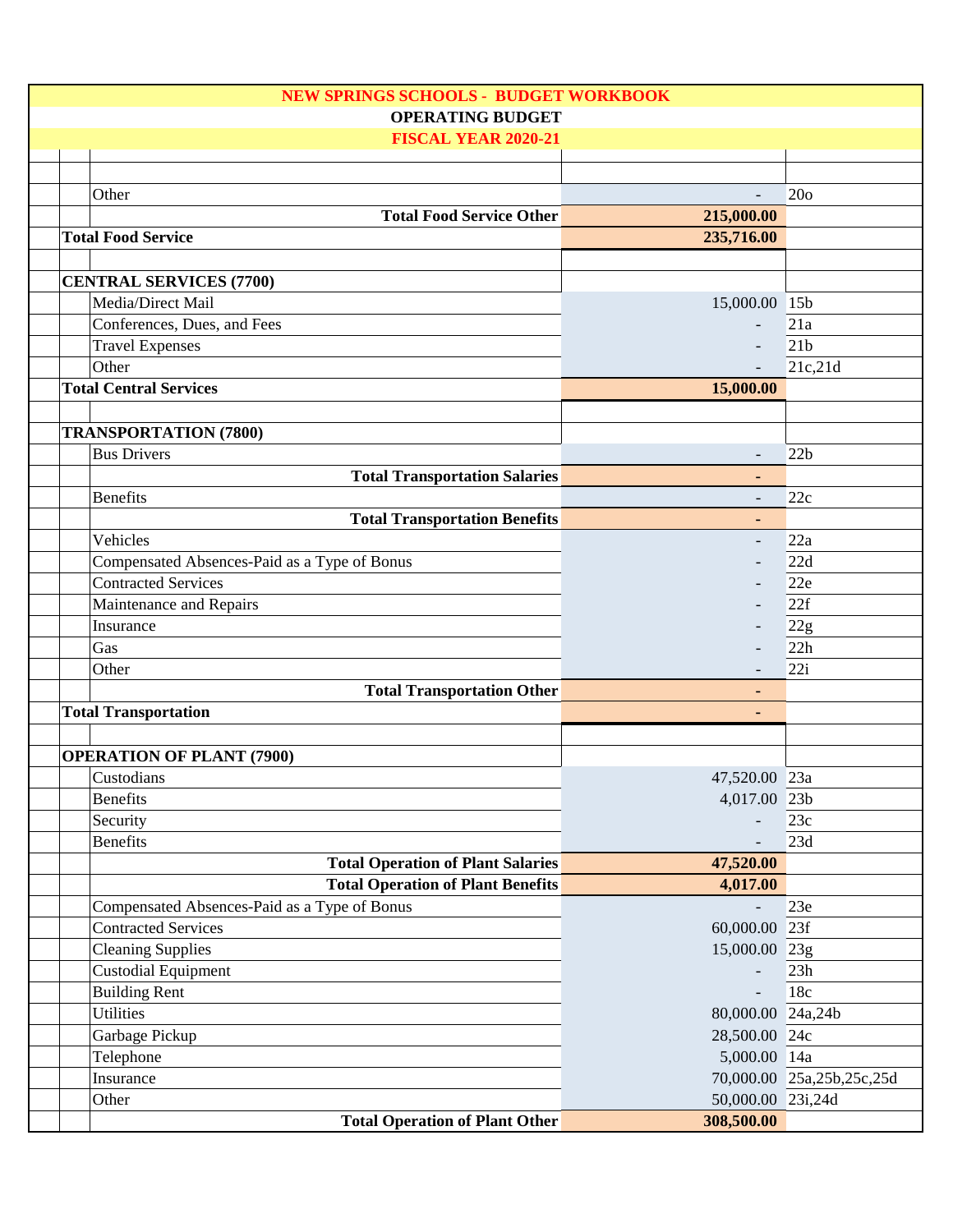| <b>NEW SPRINGS SCHOOLS - BUDGET WORKBOOK</b> |                          |                           |  |  |
|----------------------------------------------|--------------------------|---------------------------|--|--|
| <b>OPERATING BUDGET</b>                      |                          |                           |  |  |
| <b>FISCAL YEAR 2020-21</b>                   |                          |                           |  |  |
|                                              |                          |                           |  |  |
|                                              |                          |                           |  |  |
| Other                                        | $\overline{\phantom{a}}$ | 20 <sub>o</sub>           |  |  |
| <b>Total Food Service Other</b>              | 215,000.00               |                           |  |  |
| <b>Total Food Service</b>                    | 235,716.00               |                           |  |  |
| <b>CENTRAL SERVICES (7700)</b>               |                          |                           |  |  |
| Media/Direct Mail                            | 15,000.00 15b            |                           |  |  |
| Conferences, Dues, and Fees                  |                          | 21a                       |  |  |
| <b>Travel Expenses</b>                       |                          | 21 <sub>b</sub>           |  |  |
| Other                                        |                          | 21c,21d                   |  |  |
| <b>Total Central Services</b>                | 15,000.00                |                           |  |  |
|                                              |                          |                           |  |  |
| <b>TRANSPORTATION (7800)</b>                 |                          |                           |  |  |
| <b>Bus Drivers</b>                           | $\overline{\phantom{a}}$ | 22b                       |  |  |
| <b>Total Transportation Salaries</b>         | ٠                        |                           |  |  |
| <b>Benefits</b>                              |                          | 22c                       |  |  |
| <b>Total Transportation Benefits</b>         | ٠                        |                           |  |  |
| Vehicles                                     | $\overline{\phantom{a}}$ | 22a                       |  |  |
| Compensated Absences-Paid as a Type of Bonus |                          | 22d                       |  |  |
| <b>Contracted Services</b>                   |                          | 22e                       |  |  |
|                                              |                          |                           |  |  |
| Maintenance and Repairs                      |                          | 22f                       |  |  |
| Insurance                                    |                          | 22g                       |  |  |
| Gas                                          |                          | 22h                       |  |  |
| Other                                        |                          | 22i                       |  |  |
| <b>Total Transportation Other</b>            |                          |                           |  |  |
| <b>Total Transportation</b>                  | $\blacksquare$           |                           |  |  |
| <b>OPERATION OF PLANT (7900)</b>             |                          |                           |  |  |
| Custodians                                   | 47,520.00 23a            |                           |  |  |
| <b>Benefits</b>                              | 4,017.00 23b             |                           |  |  |
| Security                                     |                          | 23c                       |  |  |
| <b>Benefits</b>                              |                          | 23d                       |  |  |
| <b>Total Operation of Plant Salaries</b>     | 47,520.00                |                           |  |  |
| <b>Total Operation of Plant Benefits</b>     | 4,017.00                 |                           |  |  |
|                                              |                          | 23e                       |  |  |
| Compensated Absences-Paid as a Type of Bonus |                          |                           |  |  |
| <b>Contracted Services</b>                   |                          |                           |  |  |
|                                              | 60,000.00 23f            |                           |  |  |
| <b>Cleaning Supplies</b>                     | 15,000.00 23g            |                           |  |  |
| <b>Custodial Equipment</b>                   |                          | 23h                       |  |  |
| <b>Building Rent</b>                         |                          | 18c                       |  |  |
| <b>Utilities</b>                             | 80,000.00 24a,24b        |                           |  |  |
| Garbage Pickup                               | 28,500.00 24c            |                           |  |  |
| Telephone                                    | 5,000.00 14a             |                           |  |  |
| Insurance<br>Other                           | 50,000.00 23i,24d        | 70,000.00 25a,25b,25c,25d |  |  |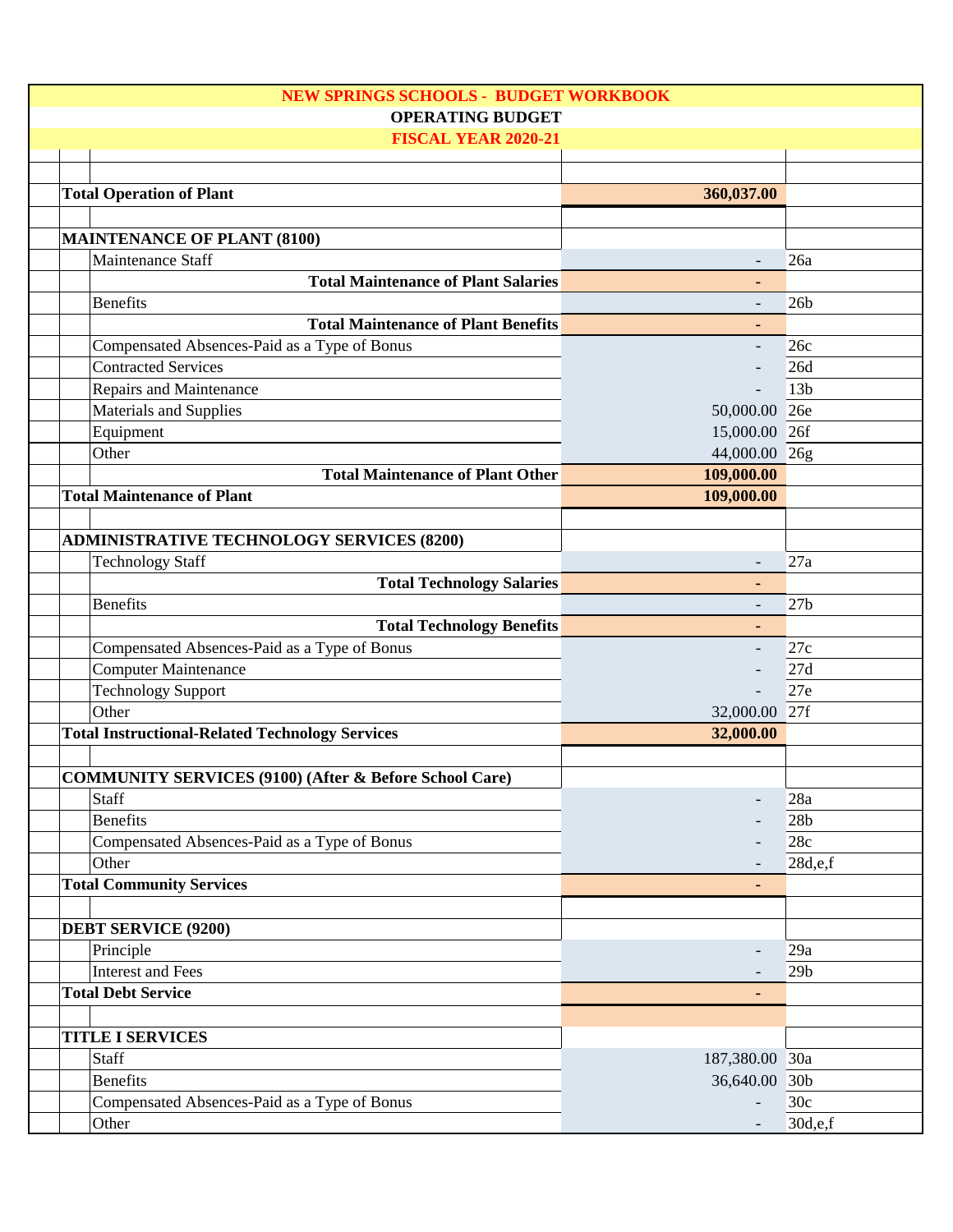| NEW SPRINGS SCHOOLS - BUDGET WORKBOOK                             |                          |                        |  |
|-------------------------------------------------------------------|--------------------------|------------------------|--|
| <b>OPERATING BUDGET</b>                                           |                          |                        |  |
| <b>FISCAL YEAR 2020-21</b>                                        |                          |                        |  |
|                                                                   |                          |                        |  |
| <b>Total Operation of Plant</b>                                   | 360,037.00               |                        |  |
|                                                                   |                          |                        |  |
| <b>MAINTENANCE OF PLANT (8100)</b>                                |                          |                        |  |
| Maintenance Staff                                                 |                          | 26a                    |  |
| <b>Total Maintenance of Plant Salaries</b>                        |                          |                        |  |
| <b>Benefits</b>                                                   |                          | 26 <sub>b</sub>        |  |
| <b>Total Maintenance of Plant Benefits</b>                        | $\blacksquare$           |                        |  |
| Compensated Absences-Paid as a Type of Bonus                      |                          | 26c                    |  |
| <b>Contracted Services</b>                                        |                          | 26d                    |  |
| Repairs and Maintenance                                           |                          | 13 <sub>b</sub>        |  |
| Materials and Supplies                                            | 50,000.00 26e            |                        |  |
| Equipment                                                         | 15,000.00 26f            |                        |  |
| Other                                                             | 44,000.00 26g            |                        |  |
| <b>Total Maintenance of Plant Other</b>                           | 109,000.00               |                        |  |
| <b>Total Maintenance of Plant</b>                                 | 109,000.00               |                        |  |
|                                                                   |                          |                        |  |
| <b>ADMINISTRATIVE TECHNOLOGY SERVICES (8200)</b>                  |                          |                        |  |
| <b>Technology Staff</b>                                           |                          | 27a                    |  |
| <b>Total Technology Salaries</b>                                  |                          |                        |  |
| <b>Benefits</b>                                                   | $\overline{\phantom{a}}$ | 27 <sub>b</sub>        |  |
| <b>Total Technology Benefits</b>                                  |                          |                        |  |
| Compensated Absences-Paid as a Type of Bonus                      |                          | 27c                    |  |
| <b>Computer Maintenance</b>                                       |                          | 27d                    |  |
| <b>Technology Support</b>                                         |                          | 27e                    |  |
| Other                                                             | 32,000.00 27f            |                        |  |
| <b>Total Instructional-Related Technology Services</b>            | 32,000.00                |                        |  |
|                                                                   |                          |                        |  |
| <b>COMMUNITY SERVICES (9100) (After &amp; Before School Care)</b> |                          |                        |  |
| Staff                                                             |                          | 28a                    |  |
| <b>Benefits</b>                                                   |                          | 28 <sub>b</sub>        |  |
| Compensated Absences-Paid as a Type of Bonus                      |                          | 28c                    |  |
| Other                                                             |                          | 28d,e,f                |  |
| <b>Total Community Services</b>                                   |                          |                        |  |
|                                                                   |                          |                        |  |
| <b>DEBT SERVICE (9200)</b>                                        |                          |                        |  |
| Principle                                                         |                          |                        |  |
| <b>Interest and Fees</b>                                          |                          | 29a<br>29 <sub>b</sub> |  |
| <b>Total Debt Service</b>                                         |                          |                        |  |
|                                                                   |                          |                        |  |
| <b>TITLE I SERVICES</b>                                           |                          |                        |  |
| <b>Staff</b>                                                      | 187,380.00 30a           |                        |  |
| <b>Benefits</b>                                                   | 36,640.00 30b            |                        |  |
| Compensated Absences-Paid as a Type of Bonus                      |                          | 30c                    |  |
|                                                                   |                          | 30d,e,f                |  |